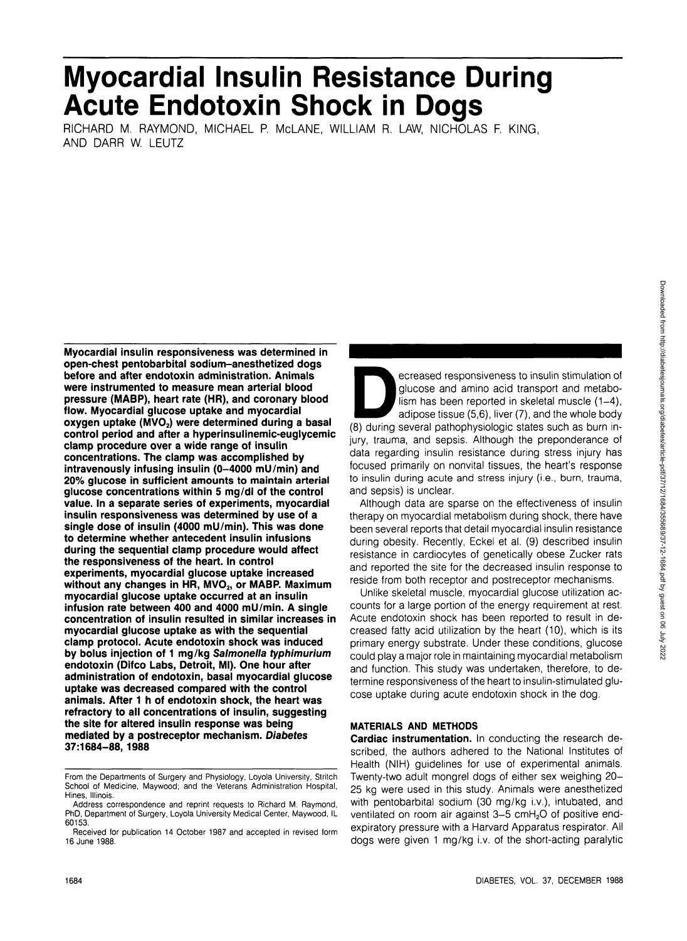# 1684 DIABETES, VOL. 37, DECEMBER 1988

# **Myocardial Insulin Resistance During Acute Endotoxin Shock in Dogs**

RICHARD M. RAYMOND, MICHAEL P. McLANE, WILLIAM R. LAW, NICHOLAS F. KING, AND DARR W. LEUTZ

**Myocardial insulin responsiveness was determined in open-chest pentobarbital sodium-anesthetized dogs before and after endotoxin administration. Animals were instrumented to measure mean arterial blood pressure (MABP), heart rate (HR), and coronary blood flow. Myocardial glucose uptake and myocardial** oxygen uptake (MVO<sub>2</sub>) were determined during a basal **control period and after a hyperinsulinemic-euglycemic clamp procedure over a wide range of insulin concentrations. The clamp was accomplished by** intravenously infusing insulin (0-4000 mU/min) and **20% glucose in sufficient amounts to maintain arterial glucose concentrations within 5 mg/dl of the control value. In a separate series of experiments, myocardial insulin responsiveness was determined by use of a single dose of insulin (4000 mU/min). This was done to determine whether antecedent insulin infusions during the sequential clamp procedure would affect the responsiveness of the heart. In control experiments, myocardial glucose uptake increased** without any changes in HR, MVO<sub>2</sub>, or MABP. Maximum **myocardial glucose uptake occurred at an insulin infusion rate between 400 and 4000 mU/min. A single concentration of insulin resulted in similar increases in myocardial glucose uptake as with the sequential clamp protocol. Acute endotoxin shock was induced by bolus injection of 1 mg/kg Salmonella typhimurium endotoxin (Difco Labs, Detroit, Ml). One hour after administration of endotoxin, basal myocardial glucose uptake was decreased compared with the control animals. After 1 h of endotoxin shock, the heart was refractory to all concentrations of insulin, suggesting the site for altered insulin response was being mediated by a postreceptor mechanism. Diabetes 37:1684-88, 1988**

ecreased responsiveness to insulin stimulation of<br>
glucose and amino acid transport and metabo-<br>
lism has been reported in skeletal muscle (1–4),<br>
adipose tissue (5,6), liver (7), and the whole body<br>
(8) during several pat glucose and amino acid transport and metabolism has been reported in skeletal muscle  $(1-4)$ , adipose tissue (5,6), liver (7), and the whole body jury, trauma, and sepsis. Although the preponderance of data regarding insulin resistance during stress injury has focused primarily on nonvital tissues, the heart's response to insulin during acute and stress injury (i.e., burn, trauma, and sepsis) is unclear.

Although data are sparse on the effectiveness of insulin therapy on myocardial metabolism during shock, there have been several reports that detail myocardial insulin resistance during obesity. Recently, Eckel et al. (9) described insulin resistance in cardiocytes of genetically obese Zucker rats and reported the site for the decreased insulin response to reside from both receptor and postreceptor mechanisms.

Unlike skeletal muscle, myocardial glucose utilization accounts for a large portion of the energy requirement at rest. Acute endotoxin shock has been reported to result in decreased fatty acid utilization by the heart (10), which is its primary energy substrate. Under these conditions, glucose could play a major role in maintaining myocardial metabolism and function. This study was undertaken, therefore, to determine responsiveness of the heart to insulin-stimulated glucose uptake during acute endotoxin shock in the dog.

# **MATERIALS AND METHODS**

**Cardiac instrumentation.** In conducting the research described, the authors adhered to the National Institutes of Health (NIH) guidelines for use of experimental animals. Twenty-two adult mongrel dogs of either sex weighing 20- 25 kg were used in this study. Animals were anesthetized with pentobarbital sodium (30 mg/kg i.v.), intubated, and ventilated on room air against 3-5 cmH<sub>2</sub>O of positive endexpiratory pressure with a Harvard Apparatus respirator. All dogs were given 1 mg/kg i.v. of the short-acting paralytic

From the Departments of Surgery and Physiology, Loyola University, Stritch School of Medicine, Maywood; and the Veterans Administration Hospital, Hines, Illinois.

Address correspondence and reprint requests to Richard M. Raymond, PhD, Department of Surgery, Loyola University Medical Center, Maywood, IL 60153.

Received for publication 14 October 1987 and accepted in revised form 16 June 1988.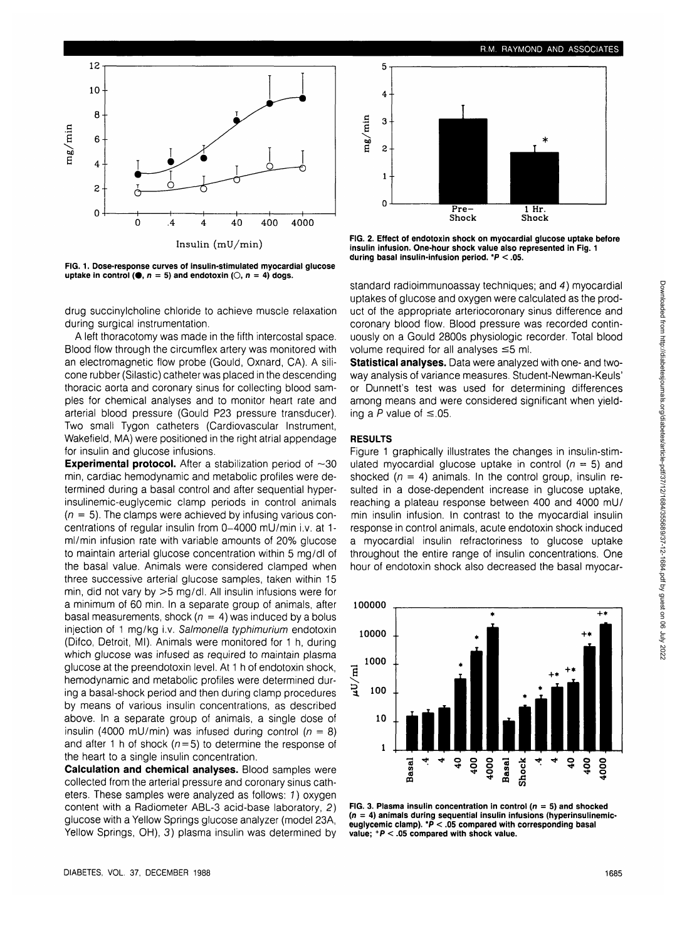

**FIG. 1. Dose-response curves of insulin-stimulated myocardial glucose uptake in control (0,**  $n = 5$ **) and endotoxin (0,**  $n = 4$ **) dogs.** 

drug succinylcholine chloride to achieve muscle relaxation during surgical instrumentation.

A left thoracotomy was made in the fifth intercostal space. Blood flow through the circumflex artery was monitored with an electromagnetic flow probe (Gould, Oxnard, CA). A silicone rubber (Silastic) catheter was placed in the descending thoracic aorta and coronary sinus for collecting blood samples for chemical analyses and to monitor heart rate and arterial blood pressure (Gould P23 pressure transducer). Two small Tygon catheters (Cardiovascular Instrument, Wakefield, MA) were positioned in the right atrial appendage for insulin and glucose infusions.

**Experimental protocol.** After a stabilization period of  $\sim$ 30 min, cardiac hemodynamic and metabolic profiles were determined during a basal control and after sequential hyperinsulinemic-euglycemic clamp periods in control animals  $(n = 5)$ . The clamps were achieved by infusing various concentrations of regular insulin from 0-4000 mU/min i.v. at 1ml/min infusion rate with variable amounts of 20% glucose to maintain arterial glucose concentration within 5 mg/dl of the basal value. Animals were considered clamped when three successive arterial glucose samples, taken within 15 min, did not vary by >5 mg/dl. All insulin infusions were for a minimum of 60 min. In a separate group of animals, after basal measurements, shock ( $n = 4$ ) was induced by a bolus injection of 1 mg/kg i.v. Salmonella typhimurium endotoxin (Difco, Detroit, Ml). Animals were monitored for 1 h, during which glucose was infused as required to maintain plasma glucose at the preendotoxin level. At 1 h of endotoxin shock, hemodynamic and metabolic profiles were determined during a basal-shock period and then during clamp procedures by means of various insulin concentrations, as described above. In a separate group of animals, a single dose of insulin (4000 mU/min) was infused during control ( $n = 8$ ) and after 1 h of shock ( $n = 5$ ) to determine the response of the heart to a single insulin concentration.

**Calculation and chemical analyses.** Blood samples were collected from the arterial pressure and coronary sinus catheters. These samples were analyzed as follows: 1) oxygen content with a Radiometer ABL-3 acid-base laboratory, 2) glucose with a Yellow Springs glucose analyzer (model 23A, Yellow Springs, OH), 3) plasma insulin was determined by



**FIG. 2. Effect of endotoxin shock on myocardial glucose uptake before insulin infusion. One-hour shock value also represented in Fig. 1 during basal insulin-infusion period. \*P < .05.**

standard radioimmunoassay techniques; and 4) myocardial uptakes of glucose and oxygen were calculated as the product of the appropriate arteriocoronary sinus difference and coronary blood flow. Blood pressure was recorded continuously on a Gould 2800s physiologic recorder. Total blood volume required for all analyses  $\leq$ 5 ml.

**Statistical analyses.** Data were analyzed with one- and twoway analysis of variance measures. Student-Newman-Keuls' or Dunnett's test was used for determining differences among means and were considered significant when yielding a P value of  $\leq$ .05.

#### **RESULTS**

Figure 1 graphically illustrates the changes in insulin-stimulated myocardial glucose uptake in control ( $n = 5$ ) and shocked ( $n = 4$ ) animals. In the control group, insulin resulted in a dose-dependent increase in glucose uptake, reaching a plateau response between 400 and 4000 mU/ min insulin infusion. In contrast to the myocardial insulin response in control animals, acute endotoxin shock induced a myocardial insulin refractoriness to glucose uptake throughout the entire range of insulin concentrations. One hour of endotoxin shock also decreased the basal myocar-



**FIG. 3. Plasma insulin concentration in control (** $n = 5$ **) and shocked (n = 4) animals during sequential insulin infusions (hyperinsulinemiceuglycemic clamp). \*P < .05 compared with corresponding basal value; +P < .05 compared with shock value.**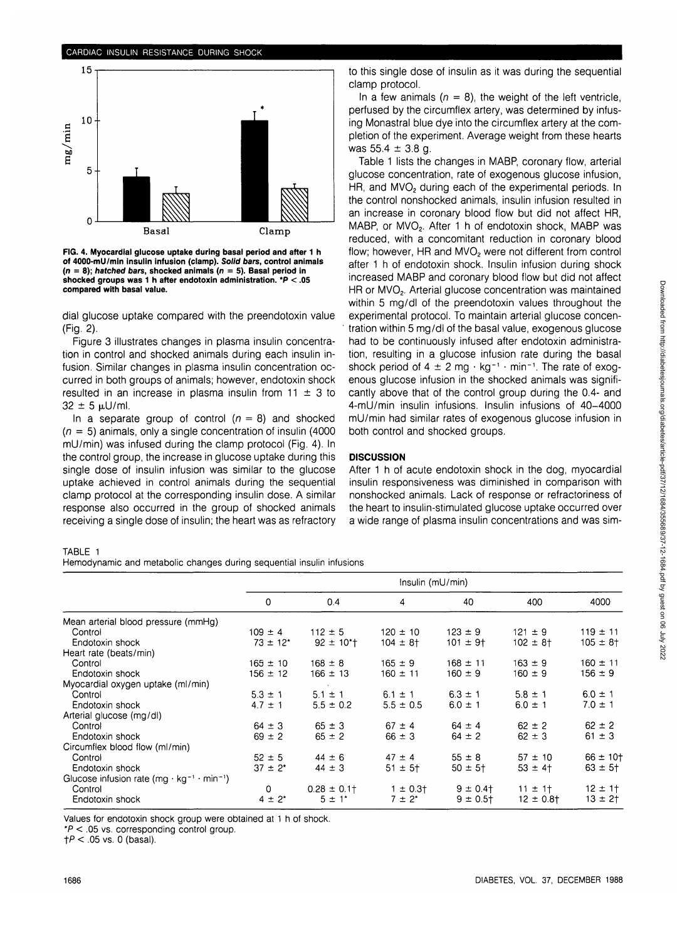

**FIG. 4. Myocardial glucose uptake during basal period and after 1 h of 4000-mU/min insulin infusion (clamp). Solid bars, control animals (n = 8); hatched bars, shocked animals (n = 5). Basal period in shocked groups was 1 h after endotoxin administration. \*P < .05 compared with basal value.**

dial glucose uptake compared with the preendotoxin value (Fig. 2).

Figure 3 illustrates changes in plasma insulin concentration in control and shocked animals during each insulin infusion. Similar changes in plasma insulin concentration occurred in both groups of animals; however, endotoxin shock resulted in an increase in plasma insulin from  $11 \pm 3$  to  $32 \pm 5 \,\mu$ U/ml.

In a separate group of control  $(n = 8)$  and shocked  $(n = 5)$  animals, only a single concentration of insulin (4000) mU/min) was infused during the clamp protocol (Fig. 4). In the control group, the increase in glucose uptake during this single dose of insulin infusion was similar to the glucose uptake achieved in control animals during the sequential clamp protocol at the corresponding insulin dose. A similar response also occurred in the group of shocked animals receiving a single dose of insulin; the heart was as refractory

## to this single dose of insulin as it was during the sequential clamp protocol.

In a few animals ( $n = 8$ ), the weight of the left ventricle, perfused by the circumflex artery, was determined by infusing Monastral blue dye into the circumflex artery at the completion of the experiment. Average weight from these hearts was  $55.4 \pm 3.8$  g.

Table 1 lists the changes in MABP, coronary flow, arterial glucose concentration, rate of exogenous glucose infusion, HR, and MVO<sub>2</sub> during each of the experimental periods. In the control nonshocked animals, insulin infusion resulted in an increase in coronary blood flow but did not affect HR, MABP, or MVO<sub>2</sub>. After 1 h of endotoxin shock, MABP was reduced, with a concomitant reduction in coronary blood flow; however, HR and MVO<sub>2</sub> were not different from control after 1 h of endotoxin shock. Insulin infusion during shock increased MABP and coronary blood flow but did not affect HR or MVO<sub>2</sub>. Arterial glucose concentration was maintained within 5 mg/dl of the preendotoxin values throughout the experimental protocol. To maintain arterial glucose concentration within 5 mg/dl of the basal value, exogenous glucose had to be continuously infused after endotoxin administration, resulting in a glucose infusion rate during the basal shock period of 4  $\pm$  2 mg  $\cdot$  kg<sup>-1</sup>  $\cdot$  min<sup>-1</sup>. The rate of exogenous glucose infusion in the shocked animals was significantly above that of the control group during the 0.4- and 4-mU/min insulin infusions. Insulin infusions of 40-4000 mU/min had similar rates of exogenous glucose infusion in both control and shocked groups.

## **DISCUSSION**

After 1 h of acute endotoxin shock in the dog, myocardial insulin responsiveness was diminished in comparison with nonshocked animals. Lack of response or refractoriness of the heart to insulin-stimulated glucose uptake occurred over a wide range of plasma insulin concentrations and was sim-

#### TABLE 1

Hemodynamic and metabolic changes during sequential insulin infusions

|                                                                                | Insulin (mU/min) |                            |                          |                |                |                 |
|--------------------------------------------------------------------------------|------------------|----------------------------|--------------------------|----------------|----------------|-----------------|
|                                                                                | 0                | 0.4                        | 4                        | 40             | 400            | 4000            |
| Mean arterial blood pressure (mmHg)                                            |                  |                            |                          |                |                |                 |
| Control                                                                        | $109 \pm 4$      | $112 \pm 5$                | $120 \pm 10$             | $123 \pm 9$    | $121 \pm 9$    | $119 \pm 11$    |
| Endotoxin shock                                                                | $73 \pm 12^{*}$  | $92 \pm 10$ <sup>*</sup> t | $104 \pm 8$ <sup>+</sup> | $101 \pm 9$ t  | $102 \pm 8$ t  | $105 \pm 8$ †   |
| Heart rate (beats/min)                                                         |                  |                            |                          |                |                |                 |
| Control                                                                        | $165 \pm 10$     | $168 \pm 8$                | $165 \pm 9$              | $168 \pm 11$   | $163 \pm 9$    | $160 \pm 11$    |
| Endotoxin shock                                                                | $156 \pm 12$     | $166 \pm 13$               | $160 \pm 11$             | $160 \pm 9$    | $160 \pm 9$    | $156 \pm 9$     |
| Myocardial oxygen uptake (ml/min)                                              |                  |                            |                          |                |                |                 |
| Control                                                                        | $5.3 \pm 1$      | $5.1 \pm 1$                | $6.1 \pm 1$              | $6.3 \pm 1$    | $5.8 \pm 1$    | $6.0 \pm 1$     |
| Endotoxin shock                                                                | $4.7 \pm 1$      | $5.5 \pm 0.2$              | $5.5 \pm 0.5$            | $6.0 \pm 1$    | $6.0 \pm 1$    | $7.0 \pm 1$     |
| Arterial glucose (mg/dl)                                                       |                  |                            |                          |                |                |                 |
| Control                                                                        | $64 \pm 3$       | $65 \pm 3$                 | $67 \pm 4$               | $64 \pm 4$     | $62 \pm 2$     | $62 \pm 2$      |
| Endotoxin shock                                                                | $69 \pm 2$       | $65 \pm 2$                 | $66 \pm 3$               | $64 \pm 2$     | $62 \pm 3$     | $61 \pm 3$      |
| Circumflex blood flow (ml/min)                                                 |                  |                            |                          |                |                |                 |
| Control                                                                        | $52 \pm 5$       | $44 \pm 6$                 | $47 \pm 4$               | $55 \pm 8$     | $57 \pm 10$    | $66 \pm 10^{+}$ |
| Endotoxin shock                                                                | $37 \pm 2^*$     | $44 \pm 3$                 | $51 \pm 5$ <sup>+</sup>  | $50 \pm 5^{+}$ | $53 \pm 4$     | $63 \pm 5$ †    |
| Glucose infusion rate (mg $\cdot$ kg <sup>-1</sup> $\cdot$ min <sup>-1</sup> ) |                  |                            |                          |                |                |                 |
| Control                                                                        | $\mathbf 0$      | $0.28 \pm 0.1$             | $1 \pm 0.3$              | $9 \pm 0.4$    | $11 \pm 1$     | $12 \pm 1$      |
| Endotoxin shock                                                                | $4 \pm 2^{*}$    | $5 \pm 1^*$                | $7 \pm 2^*$              | $9 \pm 0.5$ †  | $12 \pm 0.8$ t | $13 \pm 2$ †    |
|                                                                                |                  |                            |                          |                |                |                 |

Values for endotoxin shock group were obtained at 1 h of shock.

\*P < .05 vs. corresponding control group.

 $fP < .05$  vs. 0 (basal).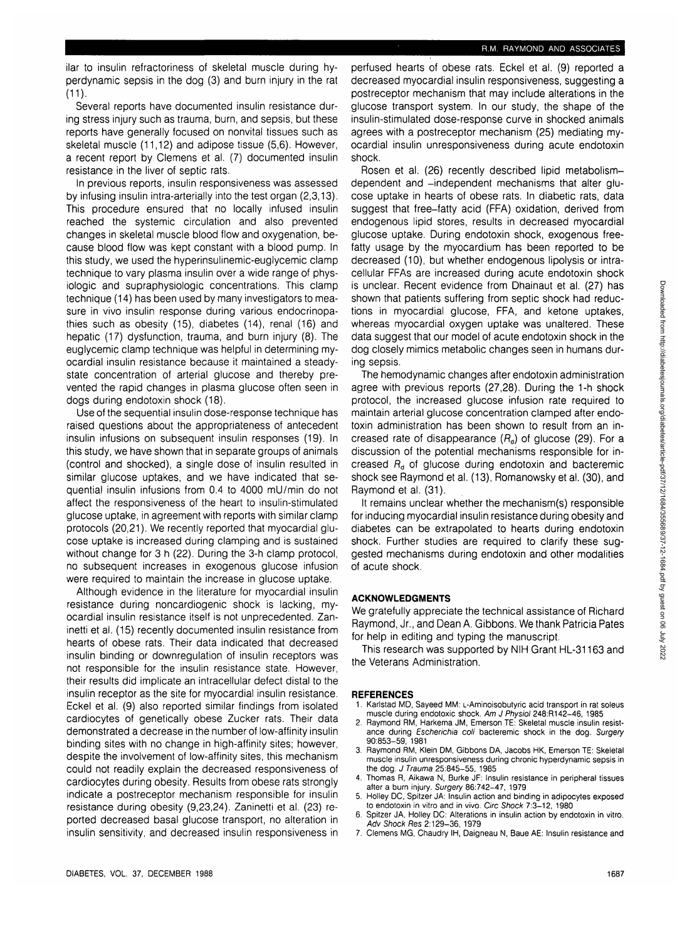**ilar** to insulin refractoriness of skeletal muscle during hyperdynamic sepsis in the dog (3) and burn injury in the rat (11).

Several reports have documented insulin resistance during stress injury such as trauma, burn, and sepsis, but these reports have generally focused on nonvital tissues such as skeletal muscle (11,12) and adipose tissue (5,6). However, a recent report by Clemens et al. (7) documented insulin resistance in the liver of septic rats.

In previous reports, insulin responsiveness was assessed by infusing insulin intra-arterially into the test organ (2,3,13). This procedure ensured that no locally infused insulin reached the systemic circulation and also prevented changes in skeletal muscle blood flow and oxygenation, because blood flow was kept constant with a blood pump. In this study, we used the hyperinsulinemic-euglycemic clamp technique to vary plasma insulin over a wide range of physiologic and supraphysiologic concentrations. This clamp technique (14) has been used by many investigators to measure in vivo insulin response during various endocrinopathies such as obesity (15), diabetes (14), renal (16) and hepatic (17) dysfunction, trauma, and burn injury (8). The euglycemic clamp technique was helpful in determining myocardial insulin resistance because it maintained a steadystate concentration of arterial glucose and thereby prevented the rapid changes in plasma glucose often seen in dogs during endotoxin shock (18).

Use of the sequential insulin dose-response technique has raised questions about the appropriateness of antecedent insulin infusions on subsequent insulin responses (19). In this study, we have shown that in separate groups of animals (control and shocked), a single dose of insulin resulted in similar glucose uptakes, and we have indicated that sequential insulin infusions from 0.4 to 4000 mU/min do not affect the responsiveness of the heart to insulin-stimulated glucose uptake, in agreement with reports with similar clamp protocols (20,21). We recently reported that myocardial glucose uptake is increased during clamping and is sustained without change for 3 h (22). During the 3-h clamp protocol, no subsequent increases in exogenous glucose infusion were required to maintain the increase in glucose uptake.

Although evidence in the literature for myocardial insulin resistance during noncardiogenic shock is lacking, myocardial insulin resistance itself is not unprecedented. Zaninetti et al. (15) recently documented insulin resistance from hearts of obese rats. Their data indicated that decreased insulin binding or downregulation of insulin receptors was not responsible for the insulin resistance state. However, their results did implicate an intracellular defect distal to the insulin receptor as the site for myocardial insulin resistance. Eckel et al. (9) also reported similar findings from isolated cardiocytes of genetically obese Zucker rats. Their data demonstrated a decrease in the number of low-affinity insulin binding sites with no change in high-affinity sites; however, despite the involvement of low-affinity sites, this mechanism could not readily explain the decreased responsiveness of cardiocytes during obesity. Results from obese rats strongly indicate a postreceptor mechanism responsible for insulin resistance during obesity (9,23,24). Zaninetti et al. (23) reported decreased basal glucose transport, no alteration in insulin sensitivity, and decreased insulin responsiveness in perfused hearts of obese rats. Eckel et al. (9) reported a decreased myocardial insulin responsiveness, suggesting a postreceptor mechanism that may include alterations in the glucose transport system. In our study, the shape of the insulin-stimulated dose-response curve in shocked animals agrees with a postreceptor mechanism (25) mediating myocardial insulin unresponsiveness during acute endotoxin shock.

Rosen et al. (26) recently described lipid metabolismdependent and -independent mechanisms that alter glucose uptake in hearts of obese rats. In diabetic rats, data suggest that free-fatty acid (FFA) oxidation, derived from endogenous lipid stores, results in decreased myocardial glucose uptake. During endotoxin shock, exogenous freefatty usage by the myocardium has been reported to be decreased (10), but whether endogenous lipolysis or intracellular FFAs are increased during acute endotoxin shock is unclear. Recent evidence from Dhainaut et al. (27) has shown that patients suffering from septic shock had reductions in myocardial glucose, FFA, and ketone uptakes, whereas myocardial oxygen uptake was unaltered. These data suggest that our model of acute endotoxin shock in the dog closely mimics metabolic changes seen in humans during sepsis.

The hemodynamic changes after endotoxin administration agree with previous reports (27,28). During the 1-h shock protocol, the increased glucose infusion rate required to maintain arterial glucose concentration clamped after endotoxin administration has been shown to result from an increased rate of disappearance  $(R<sub>d</sub>)$  of glucose (29). For a discussion of the potential mechanisms responsible for increased  $R_d$  of glucose during endotoxin and bacteremic shock see Raymond et al. (13), Romanowsky et al. (30), and Raymond et al. (31).

It remains unclear whether the mechanism(s) responsible for inducing myocardial insulin resistance during obesity and diabetes can be extrapolated to hearts during endotoxin shock. Further studies are required to clarify these suggested mechanisms during endotoxin and other modalities of acute shock.

## **ACKNOWLEDGMENTS**

We gratefully appreciate the technical assistance of Richard Raymond, Jr., and Dean A. Gibbons. We thank Patricia Pates for help in editing and typing the manuscript.

This research was supported by NIH Grant HL-31163 and the Veterans Administration.

#### **REFERENCES**

- 1. Karlstad MD, Sayeed MM: L-Aminoisobutyric acid transport in rat soleus muscle during endotoxic shock. Am J Physiol 248:R142-46, 1985
- 2. Raymond RM, Harkema JM, Emerson TE: Skeletal muscle insulin resistance during Escherichia coli bacteremic shock in the dog. Surgery 90:853-59, 1981
- 3. Raymond RM, Klein DM, Gibbons DA, Jacobs HK, Emerson TE: Skeletal muscle insulin unresponsiveness during chronic hyperdynamic sepsis in the dog. J Trauma 25:845-55, 1985
- 4. Thomas R, Aikawa N, Burke JF: Insulin resistance in peripheral tissues after a burn injury. Surgery 86:742-47, 1979
- 5. Holley DC, Spitzer JA: Insulin action and binding in adipocytes exposed to endotoxin in vitro and in vivo. Ore Shock 7:3-12, 1980
- 6. Spitzer JA, Holley DC: Alterations in insulin action by endotoxin in vitro. Adv Shock Res 2:129-36, 1979
- 7. Clemens MG, Chaudry IH, Daigneau N, Baue AE: Insulin resistance and